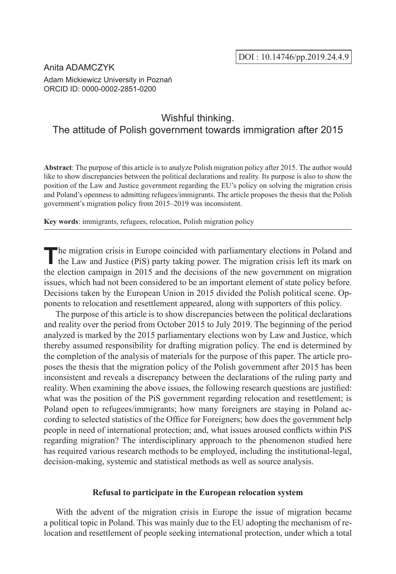## Anita ADAMCZYK

Adam Mickiewicz University in Poznań ORCID ID: 0000-0002-2851-0200

# Wishful thinking. The attitude of Polish government towards immigration after 2015

**Abstract**: The purpose of this article is to analyze Polish migration policy after 2015. The author would like to show discrepancies between the political declarations and reality. Its purpose is also to show the position of the Law and Justice government regarding the EU's policy on solving the migration crisis and Poland's openness to admitting refugees/immigrants. The article proposes the thesis that the Polish government's migration policy from 2015–2019 was inconsistent.

**Key words**: immigrants, refugees, relocation, Polish migration policy

**T**he migration crisis in Europe coincided with parliamentary elections in Poland and the Law and Justice (PiS) party taking power. The migration crisis left its mark on the election campaign in 2015 and the decisions of the new government on migration issues, which had not been considered to be an important element of state policy before. Decisions taken by the European Union in 2015 divided the Polish political scene. Opponents to relocation and resettlement appeared, along with supporters of this policy.

The purpose of this article is to show discrepancies between the political declarations and reality over the period from October 2015 to July 2019. The beginning of the period analyzed is marked by the 2015 parliamentary elections won by Law and Justice, which thereby assumed responsibility for drafting migration policy. The end is determined by the completion of the analysis of materials for the purpose of this paper. The article proposes the thesis that the migration policy of the Polish government after 2015 has been inconsistent and reveals a discrepancy between the declarations of the ruling party and reality. When examining the above issues, the following research questions are justified: what was the position of the PiS government regarding relocation and resettlement; is Poland open to refugees/immigrants; how many foreigners are staying in Poland according to selected statistics of the Office for Foreigners; how does the government help people in need of international protection; and, what issues aroused conflicts within PiS regarding migration? The interdisciplinary approach to the phenomenon studied here has required various research methods to be employed, including the institutional-legal, decision-making, systemic and statistical methods as well as source analysis.

#### **Refusal to participate in the European relocation system**

With the advent of the migration crisis in Europe the issue of migration became a political topic in Poland. This was mainly due to the EU adopting the mechanism of relocation and resettlement of people seeking international protection, under which a total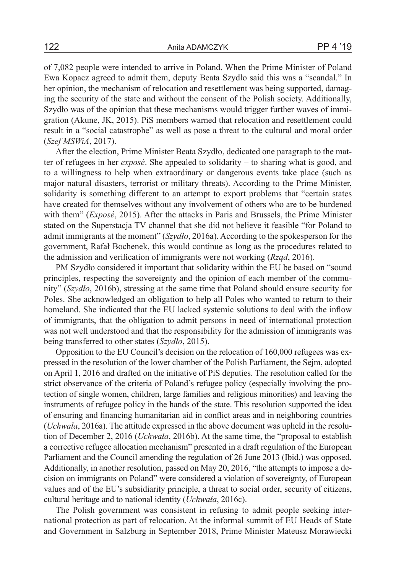of 7,082 people were intended to arrive in Poland. When the Prime Minister of Poland Ewa Kopacz agreed to admit them, deputy Beata Szydło said this was a "scandal." In her opinion, the mechanism of relocation and resettlement was being supported, damaging the security of the state and without the consent of the Polish society. Additionally, Szydło was of the opinion that these mechanisms would trigger further waves of immigration (Akune, JK, 2015). PiS members warned that relocation and resettlement could result in a "social catastrophe" as well as pose a threat to the cultural and moral order (*Szef MSWiA*, 2017).

After the election, Prime Minister Beata Szydło, dedicated one paragraph to the matter of refugees in her *exposé*. She appealed to solidarity – to sharing what is good, and to a willingness to help when extraordinary or dangerous events take place (such as major natural disasters, terrorist or military threats). According to the Prime Minister, solidarity is something different to an attempt to export problems that "certain states have created for themselves without any involvement of others who are to be burdened with them" (*Exposé*, 2015). After the attacks in Paris and Brussels, the Prime Minister stated on the Superstacja TV channel that she did not believe it feasible "for Poland to admit immigrants at the moment" (*Szydło*, 2016a). According to the spokesperson for the government, Rafał Bochenek, this would continue as long as the procedures related to the admission and verification of immigrants were not working (*Rząd*, 2016).

PM Szydło considered it important that solidarity within the EU be based on "sound principles, respecting the sovereignty and the opinion of each member of the community" (*Szydło*, 2016b), stressing at the same time that Poland should ensure security for Poles. She acknowledged an obligation to help all Poles who wanted to return to their homeland. She indicated that the EU lacked systemic solutions to deal with the inflow of immigrants, that the obligation to admit persons in need of international protection was not well understood and that the responsibility for the admission of immigrants was being transferred to other states (*Szydło*, 2015).

Opposition to the EU Council's decision on the relocation of 160,000 refugees was expressed in the resolution of the lower chamber of the Polish Parliament, the Sejm, adopted on April 1, 2016 and drafted on the initiative of PiS deputies. The resolution called for the strict observance of the criteria of Poland's refugee policy (especially involving the protection of single women, children, large families and religious minorities) and leaving the instruments of refugee policy in the hands of the state. This resolution supported the idea of ensuring and financing humanitarian aid in conflict areas and in neighboring countries (*Uchwała*, 2016a). The attitude expressed in the above document was upheld in the resolution of December 2, 2016 (*Uchwała*, 2016b). At the same time, the "proposal to establish a corrective refugee allocation mechanism" presented in a draft regulation of the European Parliament and the Council amending the regulation of 26 June 2013 (Ibid.) was opposed. Additionally, in another resolution, passed on May 20, 2016, "the attempts to impose a decision on immigrants on Poland" were considered a violation of sovereignty, of European values and of the EU's subsidiarity principle, a threat to social order, security of citizens, cultural heritage and to national identity (*Uchwała*, 2016c).

The Polish government was consistent in refusing to admit people seeking international protection as part of relocation. At the informal summit of EU Heads of State and Government in Salzburg in September 2018, Prime Minister Mateusz Morawiecki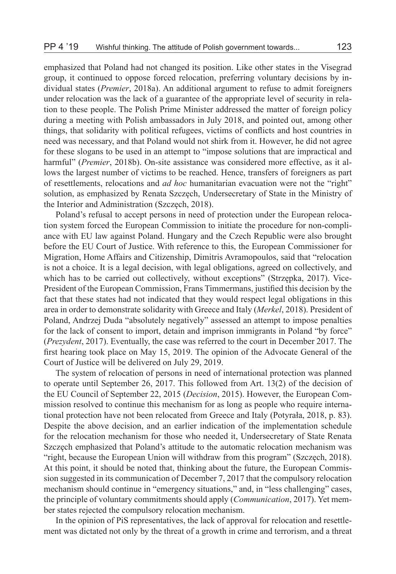emphasized that Poland had not changed its position. Like other states in the Visegrad group, it continued to oppose forced relocation, preferring voluntary decisions by individual states (*Premier*, 2018a). An additional argument to refuse to admit foreigners under relocation was the lack of a guarantee of the appropriate level of security in relation to these people. The Polish Prime Minister addressed the matter of foreign policy during a meeting with Polish ambassadors in July 2018, and pointed out, among other things, that solidarity with political refugees, victims of conflicts and host countries in need was necessary, and that Poland would not shirk from it. However, he did not agree for these slogans to be used in an attempt to "impose solutions that are impractical and harmful" (*Premier*, 2018b). On-site assistance was considered more effective, as it allows the largest number of victims to be reached. Hence, transfers of foreigners as part of resettlements, relocations and *ad hoc* humanitarian evacuation were not the "right" solution, as emphasized by Renata Szczęch, Undersecretary of State in the Ministry of the Interior and Administration (Szczęch, 2018).

Poland's refusal to accept persons in need of protection under the European relocation system forced the European Commission to initiate the procedure for non-compliance with EU law against Poland. Hungary and the Czech Republic were also brought before the EU Court of Justice. With reference to this, the European Commissioner for Migration, Home Affairs and Citizenship, Dimitris Avramopoulos, said that "relocation is not a choice. It is a legal decision, with legal obligations, agreed on collectively, and which has to be carried out collectively, without exceptions" (Strzepka, 2017). Vice-President of the European Commission, Frans Timmermans, justified this decision by the fact that these states had not indicated that they would respect legal obligations in this area in order to demonstrate solidarity with Greece and Italy (*Merkel*, 2018). President of Poland, Andrzej Duda "absolutely negatively" assessed an attempt to impose penalties for the lack of consent to import, detain and imprison immigrants in Poland "by force" (*Prezydent*, 2017). Eventually, the case was referred to the court in December 2017. The first hearing took place on May 15, 2019. The opinion of the Advocate General of the Court of Justice will be delivered on July 29, 2019.

The system of relocation of persons in need of international protection was planned to operate until September 26, 2017. This followed from Art. 13(2) of the decision of the EU Council of September 22, 2015 (*Decision*, 2015). However, the European Commission resolved to continue this mechanism for as long as people who require international protection have not been relocated from Greece and Italy (Potyrała, 2018, p. 83). Despite the above decision, and an earlier indication of the implementation schedule for the relocation mechanism for those who needed it, Undersecretary of State Renata Szczęch emphasized that Poland's attitude to the automatic relocation mechanism was "right, because the European Union will withdraw from this program" (Szczęch, 2018). At this point, it should be noted that, thinking about the future, the European Commission suggested in its communication of December 7, 2017 that the compulsory relocation mechanism should continue in "emergency situations," and, in "less challenging" cases, the principle of voluntary commitments should apply (*Communication*, 2017). Yet member states rejected the compulsory relocation mechanism.

In the opinion of PiS representatives, the lack of approval for relocation and resettlement was dictated not only by the threat of a growth in crime and terrorism, and a threat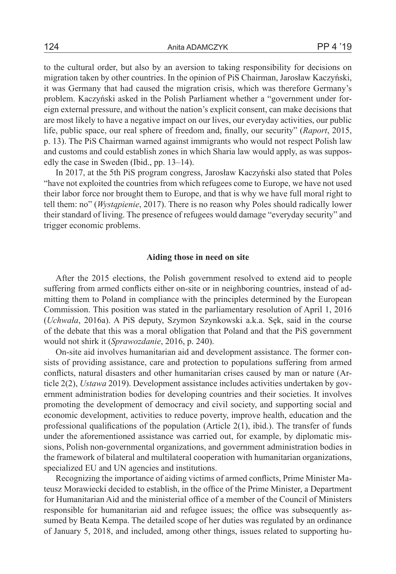to the cultural order, but also by an aversion to taking responsibility for decisions on migration taken by other countries. In the opinion of PiS Chairman, Jarosław Kaczyński, it was Germany that had caused the migration crisis, which was therefore Germany's problem. Kaczyński asked in the Polish Parliament whether a "government under foreign external pressure, and without the nation's explicit consent, can make decisions that are most likely to have a negative impact on our lives, our everyday activities, our public life, public space, our real sphere of freedom and, finally, our security" (*Raport*, 2015, p. 13). The PiS Chairman warned against immigrants who would not respect Polish law and customs and could establish zones in which Sharia law would apply, as was supposedly the case in Sweden (Ibid., pp. 13–14).

In 2017, at the 5th PiS program congress, Jarosław Kaczyński also stated that Poles "have not exploited the countries from which refugees come to Europe, we have not used their labor force nor brought them to Europe, and that is why we have full moral right to tell them: no" (*Wystąpienie*, 2017). There is no reason why Poles should radically lower their standard of living. The presence of refugees would damage "everyday security" and trigger economic problems.

### **Aiding those in need on site**

After the 2015 elections, the Polish government resolved to extend aid to people suffering from armed conflicts either on-site or in neighboring countries, instead of admitting them to Poland in compliance with the principles determined by the European Commission. This position was stated in the parliamentary resolution of April 1, 2016 (*Uchwała*, 2016a). A PiS deputy, Szymon Szynkowski a.k.a. Sęk, said in the course of the debate that this was a moral obligation that Poland and that the PiS government would not shirk it (*Sprawozdanie*, 2016, p. 240).

On-site aid involves humanitarian aid and development assistance. The former consists of providing assistance, care and protection to populations suffering from armed conflicts, natural disasters and other humanitarian crises caused by man or nature (Article 2(2), *Ustawa* 2019). Development assistance includes activities undertaken by government administration bodies for developing countries and their societies. It involves promoting the development of democracy and civil society, and supporting social and economic development, activities to reduce poverty, improve health, education and the professional qualifications of the population (Article 2(1), ibid.). The transfer of funds under the aforementioned assistance was carried out, for example, by diplomatic missions, Polish non-governmental organizations, and government administration bodies in the framework of bilateral and multilateral cooperation with humanitarian organizations, specialized EU and UN agencies and institutions.

Recognizing the importance of aiding victims of armed conflicts, Prime Minister Mateusz Morawiecki decided to establish, in the office of the Prime Minister, a Department for Humanitarian Aid and the ministerial office of a member of the Council of Ministers responsible for humanitarian aid and refugee issues; the office was subsequently assumed by Beata Kempa. The detailed scope of her duties was regulated by an ordinance of January 5, 2018, and included, among other things, issues related to supporting hu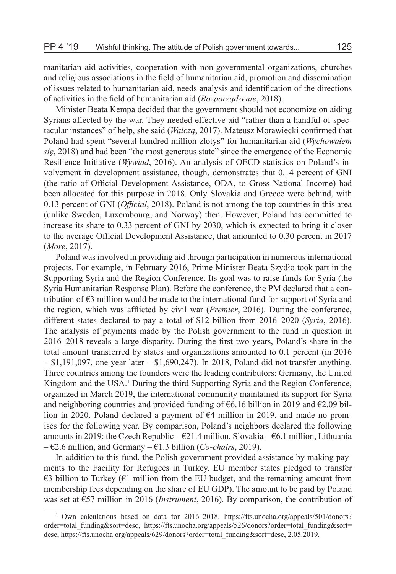manitarian aid activities, cooperation with non-governmental organizations, churches and religious associations in the field of humanitarian aid, promotion and dissemination of issues related to humanitarian aid, needs analysis and identification of the directions of activities in the field of humanitarian aid (*Rozporządzenie*, 2018).

Minister Beata Kempa decided that the government should not economize on aiding Syrians affected by the war. They needed effective aid "rather than a handful of spectacular instances" of help, she said (*Walczą*, 2017). Mateusz Morawiecki confirmed that Poland had spent "several hundred million zlotys" for humanitarian aid (*Wychowałem się*, 2018) and had been "the most generous state" since the emergence of the Economic Resilience Initiative (*Wywiad*, 2016). An analysis of OECD statistics on Poland's involvement in development assistance, though, demonstrates that 0.14 percent of GNI (the ratio of Official Development Assistance, ODA, to Gross National Income) had been allocated for this purpose in 2018. Only Slovakia and Greece were behind, with 0.13 percent of GNI (*Official*, 2018). Poland is not among the top countries in this area (unlike Sweden, Luxembourg, and Norway) then. However, Poland has committed to increase its share to 0.33 percent of GNI by 2030, which is expected to bring it closer to the average Official Development Assistance, that amounted to 0.30 percent in 2017 (*More*, 2017).

Poland was involved in providing aid through participation in numerous international projects. For example, in February 2016, Prime Minister Beata Szydło took part in the Supporting Syria and the Region Conference. Its goal was to raise funds for Syria (the Syria Humanitarian Response Plan). Before the conference, the PM declared that a contribution of  $\epsilon$ 3 million would be made to the international fund for support of Syria and the region, which was afflicted by civil war (*Premier*, 2016). During the conference, different states declared to pay a total of \$12 billion from 2016–2020 (*Syria*, 2016). The analysis of payments made by the Polish government to the fund in question in 2016–2018 reveals a large disparity. During the first two years, Poland's share in the total amount transferred by states and organizations amounted to 0.1 percent (in 2016  $-$  \$1,191,097, one year later  $-$  \$1,690,247). In 2018, Poland did not transfer anything. Three countries among the founders were the leading contributors: Germany, the United Kingdom and the USA.<sup>1</sup> During the third Supporting Syria and the Region Conference, organized in March 2019, the international community maintained its support for Syria and neighboring countries and provided funding of  $\epsilon$ 6.16 billion in 2019 and  $\epsilon$ 2.09 billion in 2020. Poland declared a payment of  $64$  million in 2019, and made no promises for the following year. By comparison, Poland's neighbors declared the following amounts in 2019: the Czech Republic –  $\epsilon$ 21.4 million, Slovakia –  $\epsilon$ 6.1 million, Lithuania – €2.6 million, and Germany – €1.3 billion (*Co-chairs*, 2019).

In addition to this fund, the Polish government provided assistance by making payments to the Facility for Refugees in Turkey. EU member states pledged to transfer  $\epsilon$ 3 billion to Turkey ( $\epsilon$ 1 million from the EU budget, and the remaining amount from membership fees depending on the share of EU GDP). The amount to be paid by Poland was set at €57 million in 2016 (*Instrument*, 2016). By comparison, the contribution of

<sup>&</sup>lt;sup>1</sup> Own calculations based on data for 2016–2018. https://fts.unocha.org/appeals/501/donors? order=total\_funding&sort=desc, https://fts.unocha.org/appeals/526/donors?order=total\_funding&sort= desc, https://fts.unocha.org/appeals/629/donors?order=total\_funding&sort=desc, 2.05.2019.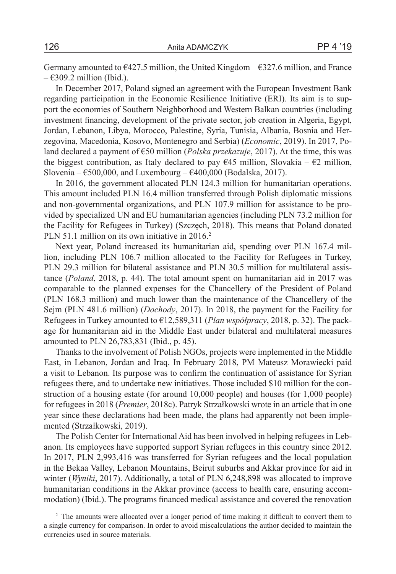Germany amounted to  $6427.5$  million, the United Kingdom –  $6327.6$  million, and France  $\epsilon$ 309.2 million (Ibid.).

In December 2017, Poland signed an agreement with the European Investment Bank regarding participation in the Economic Resilience Initiative (ERI). Its aim is to support the economies of Southern Neighborhood and Western Balkan countries (including investment financing, development of the private sector, job creation in Algeria, Egypt, Jordan, Lebanon, Libya, Morocco, Palestine, Syria, Tunisia, Albania, Bosnia and Herzegovina, Macedonia, Kosovo, Montenegro and Serbia) (*Economic*, 2019). In 2017, Poland declared a payment of €50 million (*Polska przekazuje*, 2017). At the time, this was the biggest contribution, as Italy declared to pay  $\epsilon$ 45 million, Slovakia –  $\epsilon$ 2 million, Slovenia –  $\epsilon$ 500,000, and Luxembourg –  $\epsilon$ 400,000 (Bodalska, 2017).

In 2016, the government allocated PLN 124.3 million for humanitarian operations. This amount included PLN 16.4 million transferred through Polish diplomatic missions and non-governmental organizations, and PLN 107.9 million for assistance to be provided by specialized UN and EU humanitarian agencies (including PLN 73.2 million for the Facility for Refugees in Turkey) (Szczęch, 2018). This means that Poland donated PLN 51.1 million on its own initiative in 2016.<sup>2</sup>

Next year, Poland increased its humanitarian aid, spending over PLN 167.4 million, including PLN 106.7 million allocated to the Facility for Refugees in Turkey, PLN 29.3 million for bilateral assistance and PLN 30.5 million for multilateral assistance (*Poland*, 2018, p. 44). The total amount spent on humanitarian aid in 2017 was comparable to the planned expenses for the Chancellery of the President of Poland (PLN 168.3 million) and much lower than the maintenance of the Chancellery of the Sejm (PLN 481.6 million) (*Dochody*, 2017). In 2018, the payment for the Facility for Refugees in Turkey amounted to €12,589,311 (*Plan współpracy*, 2018, p. 32). The package for humanitarian aid in the Middle East under bilateral and multilateral measures amounted to PLN 26,783,831 (Ibid., p. 45).

Thanks to the involvement of Polish NGOs, projects were implemented in the Middle East, in Lebanon, Jordan and Iraq. In February 2018, PM Mateusz Morawiecki paid a visit to Lebanon. Its purpose was to confirm the continuation of assistance for Syrian refugees there, and to undertake new initiatives. Those included \$10 million for the construction of a housing estate (for around 10,000 people) and houses (for 1,000 people) for refugees in 2018 (*Premier*, 2018c). Patryk Strzałkowski wrote in an article that in one year since these declarations had been made, the plans had apparently not been implemented (Strzałkowski, 2019).

The Polish Center for International Aid has been involved in helping refugees in Lebanon. Its employees have supported support Syrian refugees in this country since 2012. In 2017, PLN 2,993,416 was transferred for Syrian refugees and the local population in the Bekaa Valley, Lebanon Mountains, Beirut suburbs and Akkar province for aid in winter (*Wyniki*, 2017). Additionally, a total of PLN 6,248,898 was allocated to improve humanitarian conditions in the Akkar province (access to health care, ensuring accommodation) (Ibid.). The programs financed medical assistance and covered the renovation

<sup>&</sup>lt;sup>2</sup> The amounts were allocated over a longer period of time making it difficult to convert them to a single currency for comparison. In order to avoid miscalculations the author decided to maintain the currencies used in source materials.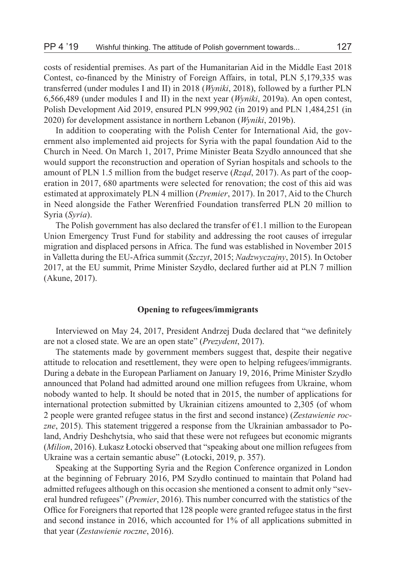costs of residential premises. As part of the Humanitarian Aid in the Middle East 2018 Contest, co-financed by the Ministry of Foreign Affairs, in total, PLN 5,179,335 was transferred (under modules I and II) in 2018 (*Wyniki*, 2018), followed by a further PLN 6,566,489 (under modules I and II) in the next year (*Wyniki*, 2019a). An open contest, Polish Development Aid 2019, ensured PLN 999,902 (in 2019) and PLN 1,484,251 (in 2020) for development assistance in northern Lebanon (*Wyniki*, 2019b).

In addition to cooperating with the Polish Center for International Aid, the government also implemented aid projects for Syria with the papal foundation Aid to the Church in Need. On March 1, 2017, Prime Minister Beata Szydło announced that she would support the reconstruction and operation of Syrian hospitals and schools to the amount of PLN 1.5 million from the budget reserve (*Rząd*, 2017). As part of the cooperation in 2017, 680 apartments were selected for renovation; the cost of this aid was estimated at approximately PLN 4 million (*Premier*, 2017). In 2017, Aid to the Church in Need alongside the Father Werenfried Foundation transferred PLN 20 million to Syria (*Syria*).

The Polish government has also declared the transfer of  $E1.1$  million to the European Union Emergency Trust Fund for stability and addressing the root causes of irregular migration and displaced persons in Africa. The fund was established in November 2015 in Valletta during the EU-Africa summit (*Szczyt*, 2015; *Nadzwyczajny*, 2015). In October 2017, at the EU summit, Prime Minister Szydło, declared further aid at PLN 7 million (Akune, 2017).

#### **Opening to refugees/immigrants**

Interviewed on May 24, 2017, President Andrzej Duda declared that "we definitely are not a closed state. We are an open state" (*Prezydent*, 2017).

The statements made by government members suggest that, despite their negative attitude to relocation and resettlement, they were open to helping refugees/immigrants. During a debate in the European Parliament on January 19, 2016, Prime Minister Szydło announced that Poland had admitted around one million refugees from Ukraine, whom nobody wanted to help. It should be noted that in 2015, the number of applications for international protection submitted by Ukrainian citizens amounted to 2,305 (of whom 2 people were granted refugee status in the first and second instance) (*Zestawienie roczne*, 2015). This statement triggered a response from the Ukrainian ambassador to Poland, Andriy Deshchytsia, who said that these were not refugees but economic migrants (*Milion*, 2016). Łukasz Łotocki observed that "speaking about one million refugees from Ukraine was a certain semantic abuse" (Łotocki, 2019, p. 357).

Speaking at the Supporting Syria and the Region Conference organized in London at the beginning of February 2016, PM Szydło continued to maintain that Poland had admitted refugees although on this occasion she mentioned a consent to admit only "several hundred refugees" (*Premier*, 2016). This number concurred with the statistics of the Office for Foreigners that reported that 128 people were granted refugee status in the first and second instance in 2016, which accounted for 1% of all applications submitted in that year (*Zestawienie roczne*, 2016).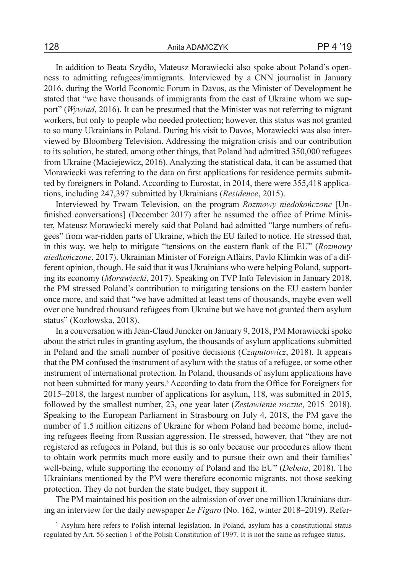In addition to Beata Szydło, Mateusz Morawiecki also spoke about Poland's openness to admitting refugees/immigrants. Interviewed by a CNN journalist in January 2016, during the World Economic Forum in Davos, as the Minister of Development he stated that "we have thousands of immigrants from the east of Ukraine whom we support" (*Wywiad*, 2016). It can be presumed that the Minister was not referring to migrant workers, but only to people who needed protection; however, this status was not granted to so many Ukrainians in Poland. During his visit to Davos, Morawiecki was also interviewed by Bloomberg Television. Addressing the migration crisis and our contribution to its solution, he stated, among other things, that Poland had admitted 350,000 refugees from Ukraine (Maciejewicz, 2016). Analyzing the statistical data, it can be assumed that Morawiecki was referring to the data on first applications for residence permits submitted by foreigners in Poland. According to Eurostat, in 2014, there were 355,418 applications, including 247,397 submitted by Ukrainians (*Residence*, 2015).

Interviewed by Trwam Television, on the program *Rozmowy niedokończone* [Unfinished conversations] (December 2017) after he assumed the office of Prime Minister, Mateusz Morawiecki merely said that Poland had admitted "large numbers of refugees" from war-ridden parts of Ukraine, which the EU failed to notice. He stressed that, in this way, we help to mitigate "tensions on the eastern flank of the EU" (*Rozmowy niedkończone*, 2017). Ukrainian Minister of Foreign Affairs, Pavlo Klimkin was of a different opinion, though. He said that it was Ukrainians who were helping Poland, supporting its economy (*Morawiecki*, 2017). Speaking on TVP Info Television in January 2018, the PM stressed Poland's contribution to mitigating tensions on the EU eastern border once more, and said that "we have admitted at least tens of thousands, maybe even well over one hundred thousand refugees from Ukraine but we have not granted them asylum status" (Kozłowska, 2018).

In a conversation with Jean-Claud Juncker on January 9, 2018, PM Morawiecki spoke about the strict rules in granting asylum, the thousands of asylum applications submitted in Poland and the small number of positive decisions (*Czaputowicz*, 2018). It appears that the PM confused the instrument of asylum with the status of a refugee, or some other instrument of international protection. In Poland, thousands of asylum applications have not been submitted for many years.<sup>3</sup> According to data from the Office for Foreigners for 2015–2018, the largest number of applications for asylum, 118, was submitted in 2015, followed by the smallest number, 23, one year later (*Zestawienie roczne*, 2015–2018). Speaking to the European Parliament in Strasbourg on July 4, 2018, the PM gave the number of 1.5 million citizens of Ukraine for whom Poland had become home, including refugees fleeing from Russian aggression. He stressed, however, that "they are not registered as refugees in Poland, but this is so only because our procedures allow them to obtain work permits much more easily and to pursue their own and their families' well-being, while supporting the economy of Poland and the EU" (*Debata*, 2018). The Ukrainians mentioned by the PM were therefore economic migrants, not those seeking protection. They do not burden the state budget, they support it.

The PM maintained his position on the admission of over one million Ukrainians during an interview for the daily newspaper *Le Figaro* (No. 162, winter 2018–2019). Refer-

<sup>&</sup>lt;sup>3</sup> Asylum here refers to Polish internal legislation. In Poland, asylum has a constitutional status regulated by Art. 56 section 1 of the Polish Constitution of 1997. It is not the same as refugee status.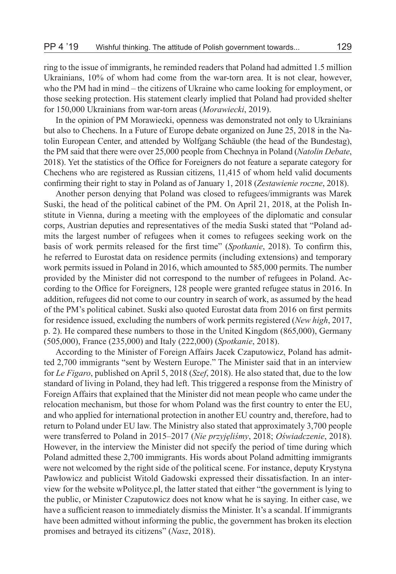ring to the issue of immigrants, he reminded readers that Poland had admitted 1.5 million Ukrainians, 10% of whom had come from the war-torn area. It is not clear, however, who the PM had in mind – the citizens of Ukraine who came looking for employment, or those seeking protection. His statement clearly implied that Poland had provided shelter for 150,000 Ukrainians from war-torn areas (*Morawiecki*, 2019).

In the opinion of PM Morawiecki, openness was demonstrated not only to Ukrainians but also to Chechens. In a Future of Europe debate organized on June 25, 2018 in the Natolin European Center, and attended by Wolfgang Schäuble (the head of the Bundestag), the PM said that there were over 25,000 people from Chechnya in Poland (*Natolin Debate*, 2018). Yet the statistics of the Office for Foreigners do not feature a separate category for Chechens who are registered as Russian citizens, 11,415 of whom held valid documents confirming their right to stay in Poland as of January 1, 2018 (*Zestawienie roczne*, 2018).

Another person denying that Poland was closed to refugees/immigrants was Marek Suski, the head of the political cabinet of the PM. On April 21, 2018, at the Polish Institute in Vienna, during a meeting with the employees of the diplomatic and consular corps, Austrian deputies and representatives of the media Suski stated that "Poland admits the largest number of refugees when it comes to refugees seeking work on the basis of work permits released for the first time" (*Spotkanie*, 2018). To confirm this, he referred to Eurostat data on residence permits (including extensions) and temporary work permits issued in Poland in 2016, which amounted to 585,000 permits. The number provided by the Minister did not correspond to the number of refugees in Poland. According to the Office for Foreigners, 128 people were granted refugee status in 2016. In addition, refugees did not come to our country in search of work, as assumed by the head of the PM's political cabinet. Suski also quoted Eurostat data from 2016 on first permits for residence issued, excluding the numbers of work permits registered (*New high*, 2017, p. 2). He compared these numbers to those in the United Kingdom (865,000), Germany (505,000), France (235,000) and Italy (222,000) (*Spotkanie*, 2018).

According to the Minister of Foreign Affairs Jacek Czaputowicz, Poland has admitted 2,700 immigrants "sent by Western Europe." The Minister said that in an interview for *Le Figaro*, published on April 5, 2018 (*Szef*, 2018). He also stated that, due to the low standard of living in Poland, they had left. This triggered a response from the Ministry of Foreign Affairs that explained that the Minister did not mean people who came under the relocation mechanism, but those for whom Poland was the first country to enter the EU, and who applied for international protection in another EU country and, therefore, had to return to Poland under EU law. The Ministry also stated that approximately 3,700 people were transferred to Poland in 2015–2017 (*Nie przyjęliśmy*, 2018; *Oświadczenie*, 2018). However, in the interview the Minister did not specify the period of time during which Poland admitted these 2,700 immigrants. His words about Poland admitting immigrants were not welcomed by the right side of the political scene. For instance, deputy Krystyna Pawłowicz and publicist Witold Gadowski expressed their dissatisfaction. In an interview for the website wPolityce.pl, the latter stated that either "the government is lying to the public, or Minister Czaputowicz does not know what he is saying. In either case, we have a sufficient reason to immediately dismiss the Minister. It's a scandal. If immigrants have been admitted without informing the public, the government has broken its election promises and betrayed its citizens" (*Nasz*, 2018).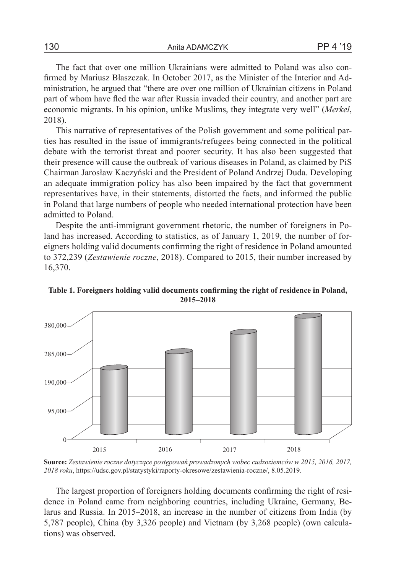The fact that over one million Ukrainians were admitted to Poland was also confirmed by Mariusz Błaszczak. In October 2017, as the Minister of the Interior and Administration, he argued that "there are over one million of Ukrainian citizens in Poland part of whom have fled the war after Russia invaded their country, and another part are economic migrants. In his opinion, unlike Muslims, they integrate very well" (*Merkel*, 2018).

This narrative of representatives of the Polish government and some political parties has resulted in the issue of immigrants/refugees being connected in the political debate with the terrorist threat and poorer security. It has also been suggested that their presence will cause the outbreak of various diseases in Poland, as claimed by PiS Chairman Jarosław Kaczyński and the President of Poland Andrzej Duda. Developing an adequate immigration policy has also been impaired by the fact that government representatives have, in their statements, distorted the facts, and informed the public in Poland that large numbers of people who needed international protection have been admitted to Poland.

Despite the anti-immigrant government rhetoric, the number of foreigners in Poland has increased. According to statistics, as of January 1, 2019, the number of foreigners holding valid documents confirming the right of residence in Poland amounted to 372,239 (*Zestawienie roczne*, 2018). Compared to 2015, their number increased by 16,370.



**Table 1. Foreigners holding valid documents confirming the right of residence in Poland, 2015–2018**

**Source:** *Zestawienie roczne dotyczące postępowań prowadzonych wobec cudzoziemców w 2015, 2016, 2017, 2018 roku*, https://udsc.gov.pl/statystyki/raporty-okresowe/zestawienia-roczne/, 8.05.2019.

The largest proportion of foreigners holding documents confirming the right of residence in Poland came from neighboring countries, including Ukraine, Germany, Belarus and Russia. In 2015–2018, an increase in the number of citizens from India (by 5,787 people), China (by 3,326 people) and Vietnam (by 3,268 people) (own calculations) was observed.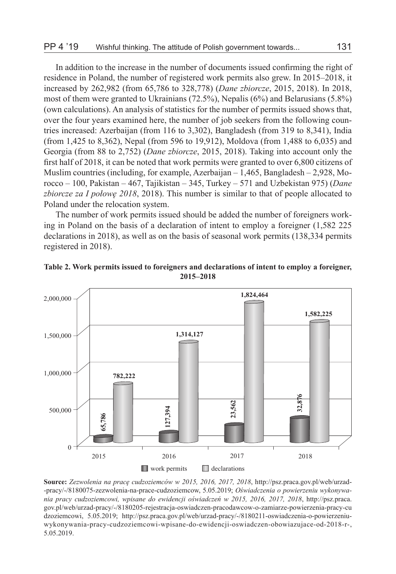In addition to the increase in the number of documents issued confirming the right of residence in Poland, the number of registered work permits also grew. In 2015–2018, it increased by 262,982 (from 65,786 to 328,778) (*Dane zbiorcze*, 2015, 2018). In 2018, most of them were granted to Ukrainians (72.5%), Nepalis (6%) and Belarusians (5.8%) (own calculations). An analysis of statistics for the number of permits issued shows that, over the four years examined here, the number of job seekers from the following countries increased: Azerbaijan (from 116 to 3,302), Bangladesh (from 319 to 8,341), India (from 1,425 to 8,362), Nepal (from 596 to 19,912), Moldova (from 1,488 to 6,035) and Georgia (from 88 to 2,752) (*Dane zbiorcze*, 2015, 2018). Taking into account only the first half of 2018, it can be noted that work permits were granted to over 6,800 citizens of Muslim countries (including, for example, Azerbaijan – 1,465, Bangladesh – 2,928, Morocco – 100, Pakistan – 467, Tajikistan – 345, Turkey – 571 and Uzbekistan 975) (*Dane zbiorcze za I połowę 2018*, 2018). This number is similar to that of people allocated to Poland under the relocation system.

The number of work permits issued should be added the number of foreigners working in Poland on the basis of a declaration of intent to employ a foreigner (1,582 225 declarations in 2018), as well as on the basis of seasonal work permits (138,334 permits registered in 2018).





**Source:** *Zezwolenia na pracę cudzoziemców w 2015, 2016, 2017, 2018*, http://psz.praca.gov.pl/web/urzad- -pracy/-/8180075-zezwolenia-na-prace-cudzoziemcow, 5.05.2019; *Oświadczenia o powierzeniu wykonywania pracy cudzoziemcowi, wpisane do ewidencji oświadczeń w 2015, 2016, 2017, 2018*, http://psz.praca. gov.pl/web/urzad-pracy/-/8180205-rejestracja-oswiadczen-pracodawcow-o-zamiarze-powierzenia-pracy-cu dzoziemcowi, 5.05.2019; http://psz.praca.gov.pl/web/urzad-pracy/-/8180211-oswiadczenia-o-powierzeniuwykonywania-pracy-cudzoziemcowi-wpisane-do-ewidencji-oswiadczen-obowiazujace-od-2018-r-, 5.05.2019.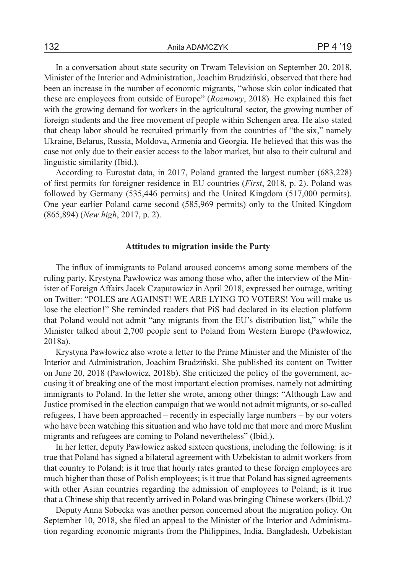In a conversation about state security on Trwam Television on September 20, 2018, Minister of the Interior and Administration, Joachim Brudziński, observed that there had been an increase in the number of economic migrants, "whose skin color indicated that these are employees from outside of Europe" (*Rozmowy*, 2018). He explained this fact with the growing demand for workers in the agricultural sector, the growing number of foreign students and the free movement of people within Schengen area. He also stated that cheap labor should be recruited primarily from the countries of "the six," namely Ukraine, Belarus, Russia, Moldova, Armenia and Georgia. He believed that this was the case not only due to their easier access to the labor market, but also to their cultural and linguistic similarity (Ibid.).

According to Eurostat data, in 2017, Poland granted the largest number (683,228) of first permits for foreigner residence in EU countries (*First*, 2018, p. 2). Poland was followed by Germany (535,446 permits) and the United Kingdom (517,000 permits). One year earlier Poland came second (585,969 permits) only to the United Kingdom (865,894) (*New high*, 2017, p. 2).

### **Attitudes to migration inside the Party**

The influx of immigrants to Poland aroused concerns among some members of the ruling party. Krystyna Pawłowicz was among those who, after the interview of the Minister of Foreign Affairs Jacek Czaputowicz in April 2018, expressed her outrage, writing on Twitter: "POLES are AGAINST! WE ARE LYING TO VOTERS! You will make us lose the election!" She reminded readers that PiS had declared in its election platform that Poland would not admit "any migrants from the EU's distribution list," while the Minister talked about 2,700 people sent to Poland from Western Europe (Pawłowicz, 2018a).

Krystyna Pawłowicz also wrote a letter to the Prime Minister and the Minister of the Interior and Administration, Joachim Brudziński. She published its content on Twitter on June 20, 2018 (Pawłowicz, 2018b). She criticized the policy of the government, accusing it of breaking one of the most important election promises, namely not admitting immigrants to Poland. In the letter she wrote, among other things: "Although Law and Justice promised in the election campaign that we would not admit migrants, or so-called refugees, I have been approached – recently in especially large numbers – by our voters who have been watching this situation and who have told me that more and more Muslim migrants and refugees are coming to Poland nevertheless" (Ibid.).

In her letter, deputy Pawłowicz asked sixteen questions, including the following: is it true that Poland has signed a bilateral agreement with Uzbekistan to admit workers from that country to Poland; is it true that hourly rates granted to these foreign employees are much higher than those of Polish employees; is it true that Poland has signed agreements with other Asian countries regarding the admission of employees to Poland; is it true that a Chinese ship that recently arrived in Poland was bringing Chinese workers (Ibid.)?

Deputy Anna Sobecka was another person concerned about the migration policy. On September 10, 2018, she filed an appeal to the Minister of the Interior and Administration regarding economic migrants from the Philippines, India, Bangladesh, Uzbekistan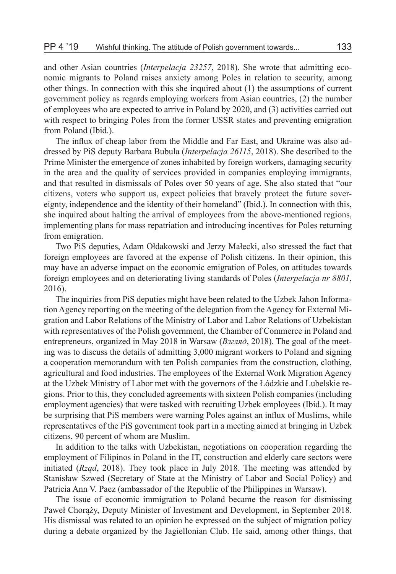and other Asian countries (*Interpelacja 23257*, 2018). She wrote that admitting economic migrants to Poland raises anxiety among Poles in relation to security, among other things. In connection with this she inquired about (1) the assumptions of current government policy as regards employing workers from Asian countries, (2) the number of employees who are expected to arrive in Poland by 2020, and (3) activities carried out with respect to bringing Poles from the former USSR states and preventing emigration from Poland (Ibid.).

The influx of cheap labor from the Middle and Far East, and Ukraine was also addressed by PiS deputy Barbara Bubula (*Interpelacja 26115*, 2018). She described to the Prime Minister the emergence of zones inhabited by foreign workers, damaging security in the area and the quality of services provided in companies employing immigrants, and that resulted in dismissals of Poles over 50 years of age. She also stated that "our citizens, voters who support us, expect policies that bravely protect the future sovereignty, independence and the identity of their homeland" (Ibid.). In connection with this, she inquired about halting the arrival of employees from the above-mentioned regions, implementing plans for mass repatriation and introducing incentives for Poles returning from emigration.

Two PiS deputies, Adam Ołdakowski and Jerzy Małecki, also stressed the fact that foreign employees are favored at the expense of Polish citizens. In their opinion, this may have an adverse impact on the economic emigration of Poles, on attitudes towards foreign employees and on deteriorating living standards of Poles (*Interpelacja nr 8801*, 2016).

The inquiries from PiS deputies might have been related to the Uzbek Jahon Information Agency reporting on the meeting of the delegation from the Agency for External Migration and Labor Relations of the Ministry of Labor and Labor Relations of Uzbekistan with representatives of the Polish government, the Chamber of Commerce in Poland and entrepreneurs, organized in May 2018 in Warsaw (*Взгляд*, 2018). The goal of the meeting was to discuss the details of admitting 3,000 migrant workers to Poland and signing a cooperation memorandum with ten Polish companies from the construction, clothing, agricultural and food industries. The employees of the External Work Migration Agency at the Uzbek Ministry of Labor met with the governors of the Łódzkie and Lubelskie regions. Prior to this, they concluded agreements with sixteen Polish companies (including employment agencies) that were tasked with recruiting Uzbek employees (Ibid.). It may be surprising that PiS members were warning Poles against an influx of Muslims, while representatives of the PiS government took part in a meeting aimed at bringing in Uzbek citizens, 90 percent of whom are Muslim.

In addition to the talks with Uzbekistan, negotiations on cooperation regarding the employment of Filipinos in Poland in the IT, construction and elderly care sectors were initiated (*Rząd*, 2018). They took place in July 2018. The meeting was attended by Stanisław Szwed (Secretary of State at the Ministry of Labor and Social Policy) and Patricia Ann V. Paez (ambassador of the Republic of the Philippines in Warsaw).

The issue of economic immigration to Poland became the reason for dismissing Paweł Chorąży, Deputy Minister of Investment and Development, in September 2018. His dismissal was related to an opinion he expressed on the subject of migration policy during a debate organized by the Jagiellonian Club. He said, among other things, that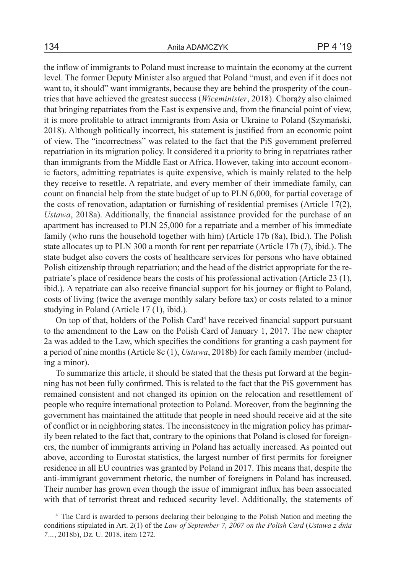the inflow of immigrants to Poland must increase to maintain the economy at the current level. The former Deputy Minister also argued that Poland "must, and even if it does not want to, it should" want immigrants, because they are behind the prosperity of the countries that have achieved the greatest success (*Wiceminister*, 2018). Chorąży also claimed that bringing repatriates from the East is expensive and, from the financial point of view, it is more profitable to attract immigrants from Asia or Ukraine to Poland (Szymański, 2018). Although politically incorrect, his statement is justified from an economic point of view. The "incorrectness" was related to the fact that the PiS government preferred repatriation in its migration policy. It considered it a priority to bring in repatriates rather than immigrants from the Middle East or Africa. However, taking into account economic factors, admitting repatriates is quite expensive, which is mainly related to the help they receive to resettle. A repatriate, and every member of their immediate family, can count on financial help from the state budget of up to PLN 6,000, for partial coverage of the costs of renovation, adaptation or furnishing of residential premises (Article 17(2), *Ustawa*, 2018a). Additionally, the financial assistance provided for the purchase of an apartment has increased to PLN 25,000 for a repatriate and a member of his immediate family (who runs the household together with him) (Article 17b (8a), Ibid.). The Polish state allocates up to PLN 300 a month for rent per repatriate (Article 17b (7), ibid.). The state budget also covers the costs of healthcare services for persons who have obtained Polish citizenship through repatriation; and the head of the district appropriate for the repatriate's place of residence bears the costs of his professional activation (Article 23 (1), ibid.). A repatriate can also receive financial support for his journey or flight to Poland, costs of living (twice the average monthly salary before tax) or costs related to a minor studying in Poland (Article 17 (1), ibid.).

On top of that, holders of the Polish Card<sup>4</sup> have received financial support pursuant to the amendment to the Law on the Polish Card of January 1, 2017. The new chapter 2a was added to the Law, which specifies the conditions for granting a cash payment for a period of nine months (Article 8c (1), *Ustawa*, 2018b) for each family member (including a minor).

To summarize this article, it should be stated that the thesis put forward at the beginning has not been fully confirmed. This is related to the fact that the PiS government has remained consistent and not changed its opinion on the relocation and resettlement of people who require international protection to Poland. Moreover, from the beginning the government has maintained the attitude that people in need should receive aid at the site of conflict or in neighboring states. The inconsistency in the migration policy has primarily been related to the fact that, contrary to the opinions that Poland is closed for foreigners, the number of immigrants arriving in Poland has actually increased. As pointed out above, according to Eurostat statistics, the largest number of first permits for foreigner residence in all EU countries was granted by Poland in 2017. This means that, despite the anti-immigrant government rhetoric, the number of foreigners in Poland has increased. Their number has grown even though the issue of immigrant influx has been associated with that of terrorist threat and reduced security level. Additionally, the statements of

<sup>4</sup> The Card is awarded to persons declaring their belonging to the Polish Nation and meeting the conditions stipulated in Art. 2(1) of the *Law of September 7, 2007 on the Polish Card* (*Ustawa z dnia 7…*, 2018b), Dz. U. 2018, item 1272.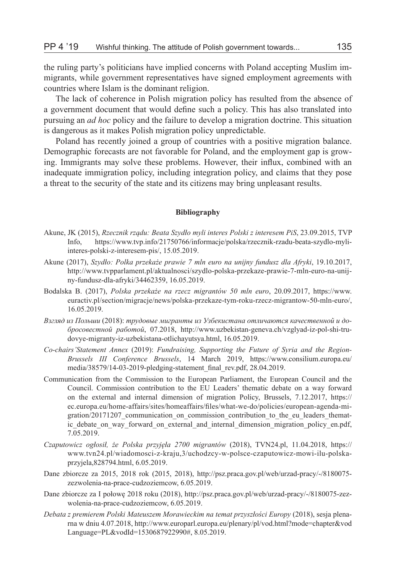the ruling party's politicians have implied concerns with Poland accepting Muslim immigrants, while government representatives have signed employment agreements with countries where Islam is the dominant religion.

The lack of coherence in Polish migration policy has resulted from the absence of a government document that would define such a policy. This has also translated into pursuing an *ad hoc* policy and the failure to develop a migration doctrine. This situation is dangerous as it makes Polish migration policy unpredictable.

Poland has recently joined a group of countries with a positive migration balance. Demographic forecasts are not favorable for Poland, and the employment gap is growing. Immigrants may solve these problems. However, their influx, combined with an inadequate immigration policy, including integration policy, and claims that they pose a threat to the security of the state and its citizens may bring unpleasant results.

#### **Bibliography**

- Akune, JK (2015), *Rzecznik rządu: Beata Szydło myli interes Polski z interesem PiS*, 23.09.2015, TVP Info, https://www.tvp.info/21750766/informacje/polska/rzecznik-rzadu-beata-szydlo-myliinteres-polski-z-interesem-pis/, 15.05.2019.
- Akune (2017), *Szydło: Polka przekaże prawie 7 mln euro na unijny fundusz dla Afryki*, 19.10.2017, http://www.tvpparlament.pl/aktualnosci/szydlo-polska-przekaze-prawie-7-mln-euro-na-unijny-fundusz-dla-afryki/34462359, 16.05.2019.
- Bodalska B. (2017), *Polska przekaże na rzecz migrantów 50 mln euro*, 20.09.2017, https://www. euractiv.pl/section/migracje/news/polska-przekaze-tym-roku-rzecz-migrantow-50-mln-euro/, 16.05.2019.
- *Взгляд из Польши* (2018): *трудовые мигранты из Узбекистана отличаются качественной и добросовестной работой*, 07.2018, http://www.uzbekistan-geneva.ch/vzglyad-iz-pol-shi-trudovye-migranty-iz-uzbekistana-otlichayutsya.html, 16.05.2019.
- *Co-chairs'Statement Annex* (2019): *Fundraising, Supporting the Future of Syria and the Region-Brussels III Conference Brussels*, 14 March 2019, https://www.consilium.europa.eu/ media/38579/14-03-2019-pledging-statement\_final\_rev.pdf, 28.04.2019.
- Communication from the Commission to the European Parliament, the European Council and the Council. Commission contribution to the EU Leaders' thematic debate on a way forward on the external and internal dimension of migration Policy, Brussels, 7.12.2017, https:// ec.europa.eu/home-affairs/sites/homeaffairs/files/what-we-do/policies/european-agenda-migration/20171207\_communication\_on\_commission\_contribution\_to\_the\_eu\_leaders\_thematic\_debate\_on\_way\_forward\_on\_external\_and\_internal\_dimension\_migration\_policy\_en.pdf, 7.05.2019.
- *Czaputowicz ogłosił, że Polska przyjęła 2700 migrantów* (2018), TVN24.pl, 11.04.2018, https:// www.tvn24.pl/wiadomosci-z-kraju,3/uchodzcy-w-polsce-czaputowicz-mowi-ilu-polskaprzyjela,828794.html, 6.05.2019.
- Dane zbiorcze za 2015, 2018 rok (2015, 2018), http://psz.praca.gov.pl/web/urzad-pracy/-/8180075 zezwolenia-na-prace-cudzoziemcow, 6.05.2019.
- Dane zbiorcze za I połowę 2018 roku (2018), http://psz.praca.gov.pl/web/urzad-pracy/-/8180075-zezwolenia-na-prace-cudzoziemcow, 6.05.2019.
- *Debata z premierem Polski Mateuszem Morawieckim na temat przyszłości Europy* (2018), sesja plenarna w dniu 4.07.2018, http://www.europarl.europa.eu/plenary/pl/vod.html?mode=chapter&vod Language=PL&vodId=1530687922990#, 8.05.2019.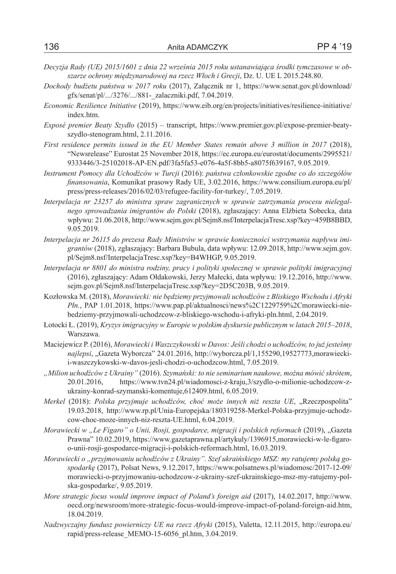- *Decyzja Rady (UE) 2015/1601 z dnia 22 września 2015 roku ustanawiająca środki tymczasowe w obszarze ochrony międzynarodowej na rzecz Włoch i Grecji*, Dz. U. UE L 2015.248.80.
- *Dochody budżetu państwa w 2017 roku* (2017), Załącznik nr 1, https://www.senat.gov.pl/download/ gfx/senat/pl/.../3276/.../881-\_zalaczniki.pdf, 7.04.2019.
- *Economic Resilience Initiative* (2019), https://www.eib.org/en/projects/initiatives/resilience-initiative/ index.htm.
- *Exposé premier Beaty Szydło* (2015) transcript, https://www.premier.gov.pl/expose-premier-beatyszydlo-stenogram.html, 2.11.2016.
- *First residence permits issued in the EU Member States remain above 3 million in 2017* (2018), "Newsrelease" Eurostat 25 November 2018, https://ec.europa.eu/eurostat/documents/2995521/ 9333446/3-25102018-AP-EN.pdf/3fa5fa53-e076-4a5f-8bb5-a8075f639167, 9.05.2019.
- *Instrument Pomocy dla Uchodźców w Turcji* (2016): *państwa członkowskie zgodne co do szczegółów finansowania*, Komunikat prasowy Rady UE, 3.02.2016, https://www.consilium.europa.eu/pl/ press/press-releases/2016/02/03/refugee-facility-for-turkey/, 7.05.2019.
- *Interpelacja nr 23257 do ministra spraw zagranicznych w sprawie zatrzymania procesu nielegalnego sprowadzania imigrantów do Polski* (2018), zgłaszający: Anna Elżbieta Sobecka, data wpływu: 21.06.2018, http://www.sejm.gov.pl/Sejm8.nsf/InterpelacjaTresc.xsp?key=459B8BBD, 9.05.2019.
- *Interpelacja nr 26115 do prezesa Rady Ministrów w sprawie konieczności wstrzymania napływu imigrantów* (2018), zgłaszający: Barbara Bubula, data wpływu: 12.09.2018, http://www.sejm.gov. pl/Sejm8.nsf/InterpelacjaTresc.xsp?key=B4WHGP, 9.05.2019.
- *Interpelacja nr 8801 do ministra rodziny, pracy i polityki społecznej w sprawie polityki imigracyjnej*  (2016), zgłaszający: Adam Ołdakowski, Jerzy Małecki, data wpływu: 19.12.2016, http://www. sejm.gov.pl/Sejm8.nsf/InterpelacjaTresc.xsp?key=2D5C203B, 9.05.2019.
- Kozłowska M. (2018), *Morawiecki: nie będziemy przyjmowali uchodźców z Bliskiego Wschodu i Afryki Płn.*, PAP 1.01.2018, https://www.pap.pl/aktualnosci/news%2C1229759%2Cmorawiecki-niebedziemy-przyjmowali-uchodzcow-z-bliskiego-wschodu-i-afryki-pln.html, 2.04.2019.
- Łotocki Ł. (2019), *Kryzys imigracyjny w Europie w polskim dyskursie publicznym w latach 2015–2018*, Warszawa.
- Maciejewicz P. (2016), *Morawiecki i Waszczykowski w Davos: Jeśli chodzi o uchodźców, to już jesteśmy najlepsi*, "Gazeta Wyborcza" 24.01.2016, http://wyborcza.pl/1,155290,19527773,morawieckii-waszczykowski-w-davos-jesli-chodzi-o-uchodzcow.html, 7.05.2019.
- *"Milion uchodźców z Ukrainy"* (2016). *Szymański: to nie seminarium naukowe, można mówić skrótem*, 20.01.2016, https://www.tvn24.pl/wiadomosci-z-kraju,3/szydlo-o-milionie-uchodzcow-zukrainy-konrad-szymanski-komentuje,612409.html, 6.05.2019.
- *Merkel* (2018): *Polska przyjmuje uchodźców, choć może innych niż reszta UE*, "Rzeczpospolita" 19.03.2018, http://www.rp.pl/Unia-Europejska/180319258-Merkel-Polska-przyjmuje-uchodzcow-choc-moze-innych-niz-reszta-UE.html, 6.04.2019.
- *Morawiecki w "Le Figaro" o Unii, Rosji, gospodarce, migracji i polskich reformach* (2019), "Gazeta Prawna" 10.02.2019, https://www.gazetaprawna.pl/artykuly/1396915,morawiecki-w-le-figaroo-unii-rosji-gospodarce-migracji-i-polskich-reformach.html, 16.03.2019.
- *Morawiecki o "przyjmowaniu uchodźców z Ukrainy". Szef ukraińskiego MSZ: my ratujemy polską gospodarkę* (2017), Polsat News, 9.12.2017, https://www.polsatnews.pl/wiadomosc/2017-12-09/ morawiecki-o-przyjmowaniu-uchodzcow-z-ukrainy-szef-ukrainskiego-msz-my-ratujemy-polska-gospodarke/, 9.05.2019.
- *More strategic focus would improve impact of Poland's foreign aid* (2017), 14.02.2017, http://www. oecd.org/newsroom/more-strategic-focus-would-improve-impact-of-poland-foreign-aid.htm, 18.04.2019.
- *Nadzwyczajny fundusz powierniczy UE na rzecz Afryki* (2015), Valetta, 12.11.2015, http://europa.eu/ rapid/press-release\_MEMO-15-6056\_pl.htm, 3.04.2019.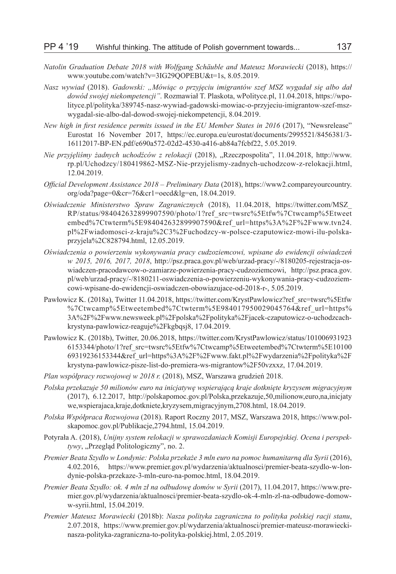- *Natolin Graduation Debate 2018 with Wolfgang Schäuble and Mateusz Morawiecki* (2018), https:// www.youtube.com/watch?v=3IG29QOPEBU&t=1s, 8.05.2019.
- *Nasz wywiad* (2018). *Gadowski: "Mówiąc o przyjęciu imigrantów szef MSZ wygadał się albo dał dowód swojej niekompetencji"*. Rozmawiał T. Plaskota, wPolityce.pl, 11.04.2018, https://wpolityce.pl/polityka/389745-nasz-wywiad-gadowski-mowiac-o-przyjeciu-imigrantow-szef-mszwygadal-sie-albo-dal-dowod-swojej-niekompetencji, 8.04.2019.
- *New high in first residence permits issued in the EU Member States in 2016* (2017), "Newsrelease" Eurostat 16 November 2017, https://ec.europa.eu/eurostat/documents/2995521/8456381/3- 16112017-BP-EN.pdf/e690a572-02d2-4530-a416-ab84a7fcbf22, 5.05.2019.
- *Nie przyjęliśmy żadnych uchodźców z relokacji* (2018), "Rzeczpospolita", 11.04.2018, http://www. rp.pl/Uchodzcy/180419862-MSZ-Nie-przyjelismy-zadnych-uchodzcow-z-relokacji.html, 12.04.2019.
- *Official Development Assistance 2018 Preliminary Data* (2018), https://www2.compareyourcountry. org/oda?page=0&cr=76&cr1=oecd&lg=en, 18.04.2019.
- *Oświadczenie Ministerstwo Spraw Zagranicznych* (2018), 11.04.2018, https://twitter.com/MSZ\_ RP/status/984042632899907590/photo/1?ref\_src=twsrc%5Etfw%7Ctwcamp%5Etweet embed%7Ctwterm%5E984042632899907590&ref\_url=https%3A%2F%2Fwww.tvn24. pl%2Fwiadomosci-z-kraju%2C3%2Fuchodzcy-w-polsce-czaputowicz-mowi-ilu-polskaprzyjela%2C828794.html, 12.05.2019.
- *Oświadczenia o powierzeniu wykonywania pracy cudzoziemcowi, wpisane do ewidencji oświadczeń w 2015, 2016, 2017, 2018*, http://psz.praca.gov.pl/web/urzad-pracy/-/8180205-rejestracja-oswiadczen-pracodawcow-o-zamiarze-powierzenia-pracy-cudzoziemcowi, http://psz.praca.gov. pl/web/urzad-pracy/-/8180211-oswiadczenia-o-powierzeniu-wykonywania-pracy-cudzoziemcowi-wpisane-do-ewidencji-oswiadczen-obowiazujace-od-2018-r-, 5.05.2019.
- Pawłowicz K. (2018a), Twitter 11.04.2018, https://twitter.com/KrystPawlowicz?ref\_src=twsrc%5Etfw %7Ctwcamp%5Etweetembed%7Ctwterm%5E984017950029045764&ref\_url=https% 3A%2F%2Fwww.newsweek.pl%2Fpolska%2Fpolityka%2Fjacek-czaputowicz-o-uchodzcachkrystyna-pawlowicz-reaguje%2Fkgbqsj8, 17.04.2019.
- Pawłowicz K. (2018b), Twitter, 20.06.2018, https://twitter.com/KrystPawlowicz/status/101006931923 6153344/photo/1?ref\_src=twsrc%5Etfw%7Ctwcamp%5Etweetembed%7Ctwterm%5E10100 69319236153344&ref\_url=https%3A%2F%2Fwww.fakt.pl%2Fwydarzenia%2Fpolityka%2F krystyna-pawlowicz-pisze-list-do-premiera-ws-migrantow%2F50vzxxz, 17.04.2019.
- *Plan współpracy rozwojowej w 2018 r.* (2018), MSZ, Warszawa grudzień 2018.
- *Polska przekazuje 50 milionów euro na inicjatywę wspierającą kraje dotknięte kryzysem migracyjnym* (2017), 6.12.2017, http://polskapomoc.gov.pl/Polska,przekazuje,50,milionow,euro,na,inicjaty we,wspierajaca,kraje,dotkniete,kryzysem,migracyjnym,2708.html, 18.04.2019.
- *Polska Współpraca Rozwojowa* (2018). Raport Roczny 2017, MSZ, Warszawa 2018, https://www.polskapomoc.gov.pl/Publikacje,2794.html, 15.04.2019.
- Potyrała A. (2018), *Unijny system relokacji w sprawozdaniach Komisji Europejskiej. Ocena i perspektywy*, "Przegląd Politologiczny", no. 2.
- *Premier Beata Szydło w Londynie: Polska przekaże 3 mln euro na pomoc humanitarną dla Syrii* (2016), 4.02.2016, https://www.premier.gov.pl/wydarzenia/aktualnosci/premier-beata-szydlo-w-londynie-polska-przekaze-3-mln-euro-na-pomoc.html, 18.04.2019.
- *Premier Beata Szydło: ok. 4 mln zł na odbudowę domów w Syrii* (2017), 11.04.2017, https://www.premier.gov.pl/wydarzenia/aktualnosci/premier-beata-szydlo-ok-4-mln-zl-na-odbudowe-domoww-syrii.html, 15.04.2019.
- *Premier Mateusz Morawiecki* (2018b): *Nasza polityka zagraniczna to polityka polskiej racji stanu*, 2.07.2018, https://www.premier.gov.pl/wydarzenia/aktualnosci/premier-mateusz-morawieckinasza-polityka-zagraniczna-to-polityka-polskiej.html, 2.05.2019.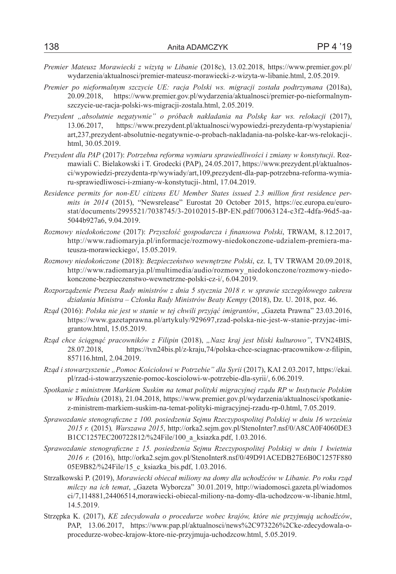- *Premier Mateusz Morawiecki z wizytą w Libanie* (2018c), 13.02.2018, https://www.premier.gov.pl/ wydarzenia/aktualnosci/premier-mateusz-morawiecki-z-wizyta-w-libanie.html, 2.05.2019.
- *Premier po nieformalnym szczycie UE: racja Polski ws. migracji została podtrzymana* (2018a), 20.09.2018, https://www.premier.gov.pl/wydarzenia/aktualnosci/premier-po-nieformalnymszczycie-ue-racja-polski-ws-migracji-zostala.html, 2.05.2019.
- *Prezydent "absolutnie negatywnie" o próbach nakładania na Polskę kar ws. relokacji* (2017), 13.06.2017, https://www.prezydent.pl/aktualnosci/wypowiedzi-prezydenta-rp/wystapienia/ art,237,prezydent-absolutnie-negatywnie-o-probach-nakladania-na-polske-kar-ws-relokacji-. html, 30.05.2019.
- *Prezydent dla PAP* (2017): *Potrzebna reforma wymiaru sprawiedliwości i zmiany w konstytucji*. Rozmawiali C. Bielakowski i T. Grodecki (PAP), 24.05.2017, https://www.prezydent.pl/aktualnosci/wypowiedzi-prezydenta-rp/wywiady/art,109,prezydent-dla-pap-potrzebna-reforma-wymiaru-sprawiedliwosci-i-zmiany-w-konstytucji-.html, 17.04.2019.
- *Residence permits for non-EU citizens EU Member States issued 2.3 million first residence permits in 2014* (2015), "Newsrelease" Eurostat 20 October 2015, https://ec.europa.eu/eurostat/documents/2995521/7038745/3-20102015-BP-EN.pdf/70063124-c3f2-4dfa-96d5-aa-5044b927a6, 9.04.2019.
- *Rozmowy niedokończone* (2017): *Przyszłość gospodarcza i finansowa Polski*, TRWAM, 8.12.2017, http://www.radiomaryja.pl/informacje/rozmowy-niedokonczone-udzialem-premiera-mateusza-morawieckiego/, 15.05.2019.
- *Rozmowy niedokończone* (2018): *Bezpieczeństwo wewnętrzne Polski*, cz. I, TV TRWAM 20.09.2018, http://www.radiomaryja.pl/multimedia/audio/rozmowy\_niedokonczone/rozmowy-niedokonczone-bezpieczenstwo-wewnetrzne-polski-cz-i/, 6.04.2019.
- *Rozporządzenie Prezesa Rady ministrów z dnia 5 stycznia 2018 r. w sprawie szczegółowego zakresu działania Ministra – Członka Rady Ministrów Beaty Kempy* (2018), Dz. U. 2018, poz. 46.
- *Rząd* (2016): *Polska nie jest w stanie w tej chwili przyjąć imigrantów*, "Gazeta Prawna" 23.03.2016, https://www.gazetaprawna.pl/artykuly/929697,rzad-polska-nie-jest-w-stanie-przyjac-imigrantow.html, 15.05.2019.
- *Rząd chce ściągnąć pracowników z Filipin* (2018), *"Nasz kraj jest bliski kulturowo"*, TVN24BIS, 28.07.2018, https://tvn24bis.pl/z-kraju,74/polska-chce-sciagnac-pracownikow-z-filipin, 857116.html, 2.04.2019.
- *Rząd i stowarzyszenie "Pomoc Kościołowi w Potrzebie" dla Syrii* (2017), KAI 2.03.2017, https://ekai. pl/rzad-i-stowarzyszenie-pomoc-kosciolowi-w-potrzebie-dla-syrii/, 6.06.2019.
- *Spotkanie z ministrem Markiem Suskim na temat polityki migracyjnej rządu RP w Instytucie Polskim w Wiedniu* (2018), 21.04.2018, https://www.premier.gov.pl/wydarzenia/aktualnosci/spotkaniez-ministrem-markiem-suskim-na-temat-polityki-migracyjnej-rzadu-rp-0.html, 7.05.2019.
- *Sprawozdanie stenograficzne z 100. posiedzenia Sejmu Rzeczypospolitej Polskiej w dniu 16 września 2015 r.* (2015)*, Warszawa 2015*, http://orka2.sejm.gov.pl/StenoInter7.nsf/0/A8CA0F4060DE3 B1CC1257EC200722812/%24File/100\_a\_ksiazka.pdf, 1.03.2016.
- *Sprawozdanie stenograficzne z 15. posiedzenia Sejmu Rzeczypospolitej Polskiej w dniu 1 kwietnia 2016 r.* (2016), http://orka2.sejm.gov.pl/StenoInter8.nsf/0/49D91ACEDB27E6B0C1257F880 05E9B82/%24File/15\_c\_ksiazka\_bis.pdf, 1.03.2016.
- Strzałkowski P. (2019), *Morawiecki obiecał miliony na domy dla uchodźców w Libanie. Po roku rząd milczy na ich temat*, "Gazeta Wyborcza" 30.01.2019, http://wiadomosci.gazeta.pl/wiadomos ci/7,114881,24406514,morawiecki-obiecal-miliony-na-domy-dla-uchodzcow-w-libanie.html, 14.5.2019.
- Strzępka K. (2017), *KE zdecydowała o procedurze wobec krajów, które nie przyjmują uchodźców*, PAP, 13.06.2017, https://www.pap.pl/aktualnosci/news%2C973226%2Cke-zdecydowala-oprocedurze-wobec-krajow-ktore-nie-przyjmuja-uchodzcow.html, 5.05.2019.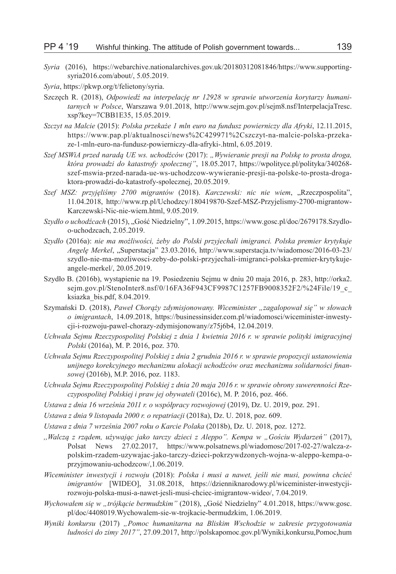- *Syria* (2016), https://webarchive.nationalarchives.gov.uk/20180312081846/https://www.supportingsyria2016.com/about/, 5.05.2019.
- *Syria*, https://pkwp.org/t/felietony/syria.
- Szczęch R. (2018), *Odpowiedź na interpelację nr 12928 w sprawie utworzenia korytarzy humanitarnych w Polsce*, Warszawa 9.01.2018, http://www.sejm.gov.pl/sejm8.nsf/InterpelacjaTresc. xsp?key=7CBB1E35, 15.05.2019.
- *Szczyt na Malcie* (2015): *Polska przekaże 1 mln euro na fundusz powierniczy dla Afryki*, 12.11.2015, https://www.pap.pl/aktualnosci/news%2C429971%2Cszczyt-na-malcie-polska-przekaze-1-mln-euro-na-fundusz-powierniczy-dla-afryki-.html, 6.05.2019.
- *Szef MSWiA przed naradą UE ws. uchodźców* (2017): *"Wywieranie presji na Polskę to prosta droga, która prowadzi do katastrofy społecznej"*, 18.05.2017, https://wpolityce.pl/polityka/340268 szef-mswia-przed-narada-ue-ws-uchodzcow-wywieranie-presji-na-polske-to-prosta-drogaktora-prowadzi-do-katastrofy-spolecznej, 20.05.2019.
- *Szef MSZ: przyjęliśmy 2700 migrantów* (2018). *Karczewski: nic nie wiem*, "Rzeczpospolita", 11.04.2018, http://www.rp.pl/Uchodzcy/180419870-Szef-MSZ-Przyjelismy-2700-migrantow-Karczewski-Nic-nie-wiem.html, 9.05.2019.
- *Szydło o uchodźcach* (2015), "Gość Niedzielny", 1.09.2015, https://www.gosc.pl/doc/2679178.Szydloo-uchodzcach, 2.05.2019.
- *Szydło* (2016a): *nie ma możliwości, żeby do Polski przyjechali imigranci. Polska premier krytykuje Angelę Merkel*, "Superstacja" 23.03.2016, http://www.superstacja.tv/wiadomosc/2016-03-23/ szydlo-nie-ma-mozliwosci-zeby-do-polski-przyjechali-imigranci-polska-premier-krytykujeangele-merkel/, 20.05.2019.
- Szydło B. (2016b), wystąpienie na 19. Posiedzeniu Sejmu w dniu 20 maja 2016, p. 283, http://orka2. sejm.gov.pl/StenoInter8.nsf/0/16FA36F943CF9987C1257FB9008352F2/%24File/19\_c\_ ksiazka\_bis.pdf, 8.04.2019.
- Szymański D. (2018), *Paweł Chorąży zdymisjonowany. Wiceminister "zagalopował się" w słowach o imigrantach*, 14.09.2018, https://businessinsider.com.pl/wiadomosci/wiceminister-inwestycji-i-rozwoju-pawel-chorazy-zdymisjonowany/z75j6b4, 12.04.2019.
- *Uchwała Sejmu Rzeczypospolitej Polskiej z dnia 1 kwietnia 2016 r. w sprawie polityki imigracyjnej Polski* (2016a), M. P. 2016, poz. 370.
- *Uchwała Sejmu Rzeczypospolitej Polskiej z dnia 2 grudnia 2016 r. w sprawie propozycji ustanowienia unijnego korekcyjnego mechanizmu alokacji uchodźców oraz mechanizmu solidarności finansowej* (2016b), M.P. 2016, poz. 1183.
- *Uchwała Sejmu Rzeczypospolitej Polskiej z dnia 20 maja 2016 r. w sprawie obrony suwerenności Rzeczypospolitej Polskiej i praw jej obywateli* (2016c), M. P. 2016, poz. 466.
- *Ustawa z dnia 16 września 2011 r. o współpracy rozwojowej* (2019), Dz. U. 2019, poz. 291.
- *Ustawa z dnia 9 listopada 2000 r. o repatriacji* (2018a), Dz. U. 2018, poz. 609.
- *Ustawa z dnia 7 września 2007 roku o Karcie Polaka* (2018b), Dz. U. 2018, poz. 1272.
- *,,Walczą z rządem, używając jako tarczy dzieci z Aleppo". Kempa w "Gościu Wydarzeń"* (2017), Polsat News 27.02.2017, https://www.polsatnews.pl/wiadomosc/2017-02-27/walcza-zpolskim-rzadem-uzywajac-jako-tarczy-dzieci-pokrzywdzonych-wojna-w-aleppo-kempa-oprzyjmowaniu-uchodzcow/,1.06.2019.
- *Wiceminister inwestycji i rozwoju* (2018): *Polska i musi a nawet, jeśli nie musi, powinna chcieć imigrantów* [WIDEO], 31.08.2018, https://dzienniknarodowy.pl/wiceminister-inwestycjirozwoju-polska-musi-a-nawet-jesli-musi-chciec-imigrantow-wideo/, 7.04.2019.
- *Wychowałem się w "trójkącie bermudzkim"* (2018), "Gość Niedzielny" 4.01.2018, https://www.gosc. pl/doc/4408019.Wychowalem-sie-w-trojkacie-bermudzkim, 1.06.2019.
- *Wyniki konkursu* (2017) *"Pomoc humanitarna na Bliskim Wschodzie w zakresie przygotowania ludności do zimy 2017"*, 27.09.2017, http://polskapomoc.gov.pl/Wyniki,konkursu,Pomoc,hum